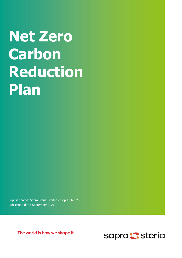# Net Zero **Carbon** Reduction Plan

Supplier name: Sopra Steria Limited ("Sopra Steria") Publication date: September 2021

The world is how we shape it

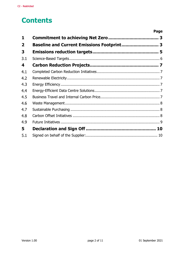## **Contents**

|                         |                                                   | Page |
|-------------------------|---------------------------------------------------|------|
| 1                       |                                                   |      |
| $\overline{\mathbf{2}}$ | <b>Baseline and Current Emissions Footprint 3</b> |      |
| 3                       |                                                   |      |
| 3.1                     |                                                   |      |
| 4                       |                                                   |      |
| 4.1                     |                                                   |      |
| 4.2                     |                                                   |      |
| 4.3                     |                                                   |      |
| 4.4                     |                                                   |      |
| 4.5                     |                                                   |      |
| 4.6                     |                                                   |      |
| 4.7                     |                                                   |      |
| 4.8                     |                                                   |      |
| 4.9                     |                                                   |      |
| 5.                      |                                                   |      |
| 5.1                     |                                                   |      |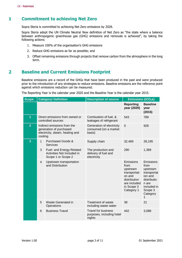## 1 Commitment to achieving Net Zero

Sopra Steria is committed to achieving Net Zero emissions by 2028.

Sopra Steria adopt the UN Climate Neutral Now definition of Net Zero as "the state where a balance between anthropogenic greenhouse gas (GHG) emissions and removals is achieved", by taking the following actions:

- 1. Measure 100% of the organisation's GHG emissions
- 2. Reduce GHG emissions as far as possible; and
- 3. Offset remaining emissions through projects that remove carbon from the atmosphere in the long term.

### 2 Baseline and Current Emissions Footprint

Baseline emissions are a record of the GHGs that have been produced in the past and were produced prior to the introduction of any strategies to reduce emissions. Baseline emissions are the reference point against which emissions reduction can be measured.

The Reporting Year is the calendar year 2020 and the Baseline Year is the calendar year 2015.

| <b>Scope</b>   | <b>Category/ Definition</b> |                                                                                           | <b>Description of source</b>                                      | <b>Emissions (tCO2e)</b>                                                                                            |                                                                                                                            |
|----------------|-----------------------------|-------------------------------------------------------------------------------------------|-------------------------------------------------------------------|---------------------------------------------------------------------------------------------------------------------|----------------------------------------------------------------------------------------------------------------------------|
|                |                             |                                                                                           |                                                                   | <b>Reporting</b><br>year (2020)                                                                                     | <b>Baseline</b><br>year<br>(2015)                                                                                          |
| 1              |                             | Direct emissions from owned or<br>controlled sources                                      | Combustion of fuel, &<br>leakages of refrigerant                  | 543                                                                                                                 | 789                                                                                                                        |
| $\overline{2}$ | cooling                     | Indirect emissions from the<br>generation of purchased<br>electricity, steam, heating and | Generation of electricity<br>consumed (on a market<br>basis)      | $\mathbf{0}$                                                                                                        | 928                                                                                                                        |
| 3              | 1                           | <b>Purchased Goods &amp;</b><br>Services                                                  | Supply chain                                                      | 32,469                                                                                                              | 28,195                                                                                                                     |
|                | 3                           | Fuel- and Energy-Related<br>Activities Not Included in<br>Scope 1 or Scope 2              | The production and<br>delivery of fuel and<br>electricity         | 290                                                                                                                 | 1,369                                                                                                                      |
|                | 4                           | Upstream transportation<br>and Distribution                                               |                                                                   | Emissions<br>from<br>upstream<br>transportati<br>on and<br>distribution<br>are included<br>in Scope 3<br>Category 1 | Emissions<br>from<br>upstream<br>transportat<br>ion and<br>distributio<br>n are<br>included in<br>Scope 3<br>Category<br>1 |
|                | 5                           | Waste Generated in<br>Operations                                                          | Treatment of waste<br>including waste water                       | 38                                                                                                                  | 21                                                                                                                         |
|                | 6                           | <b>Business Travel</b>                                                                    | <b>Travel for business</b><br>purposes, including hotel<br>nights | 442                                                                                                                 | 3,088                                                                                                                      |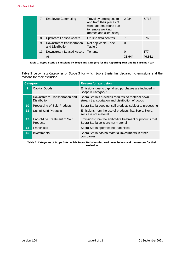|    | <b>Employee Commuting</b>                     | Travel by employees to<br>and from their places of<br>work and emissions due<br>to remote working<br>(homes and client sites) | 2,084    | 5,718  |
|----|-----------------------------------------------|-------------------------------------------------------------------------------------------------------------------------------|----------|--------|
| 8  | <b>Upstream Leased Assets</b>                 | Off-site data centres                                                                                                         | 78       | 376    |
| 9  | Downstream transportation<br>and Distribution | Not applicable $-$ see<br>Table 2                                                                                             | $\Omega$ | 0      |
| 13 | Downstream Leased Assets                      | Tenants                                                                                                                       | 0        | 177    |
|    | All                                           |                                                                                                                               | 35,944   | 40,661 |

#### Table 1: Sopra Steria's Emissions by Scope and Category for the Reporting Year and its Baseline Year.

Table 2 below lists Categories of Scope 3 for which Sopra Steria has declared no emissions and the reasons for their exclusion.

| <b>Category</b> |                                                      | <b>Reason for exclusion</b>                                                                           |  |  |  |  |
|-----------------|------------------------------------------------------|-------------------------------------------------------------------------------------------------------|--|--|--|--|
| $\overline{2}$  | <b>Capital Goods</b>                                 | Emissions due to capitalised purchases are included in<br>Scope 3 Category 1                          |  |  |  |  |
| 9               | Downstream Transportation and<br><b>Distribution</b> | Sopra Steria's business requires no material down-<br>stream transportation and distribution of goods |  |  |  |  |
| 10              | Processing of Sold Products                          | Sopra Steria does not sell products subject to processing                                             |  |  |  |  |
| 11              | Use of Sold Products                                 | Emissions from the use of products that Sopra Steria<br>sells are not material                        |  |  |  |  |
| 12 <sub>2</sub> | End-of-Life Treatment of Sold<br><b>Products</b>     | Emissions from the end-of-life treatment of products that<br>Sopra Steria sells are not material      |  |  |  |  |
| 14              | <b>Franchises</b>                                    | Sopra Steria operates no franchises                                                                   |  |  |  |  |
| 15              | Investments                                          | Sopra Steria has no material investments in other<br>companies                                        |  |  |  |  |

Table 2: Categories of Scope 3 for which Sopra Steria has declared no emissions and the reasons for their exclusion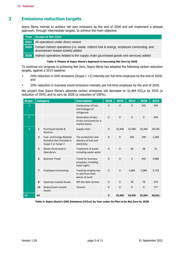## 3 Emissions reduction targets

Sopra Steria intends to achieve net zero emissions by the end of 2028 and will implement a phased approach, through intermediate targets, to achieve the main objective.

| Year | Scope of Net Zero                                                                                                           |
|------|-----------------------------------------------------------------------------------------------------------------------------|
| 2022 | All operations under direct control                                                                                         |
| 2025 | Certain indirect operations (i.e. waste, indirect fuel & energy, employee commuting, and<br>downstream leased assets) added |
| 2028 | Indirect operations related to the supply chain (purchased goods and services) added                                        |
|      |                                                                                                                             |

#### Table 3: Phases of Sopra Steria's Approach to becoming Net Zero by 2028

To continue our progress to achieving Net Zero, Sopra Steria has adopted the following carbon reduction targets, against a 2015 baseline:

- 24% reduction in GHG emissions (Scope 1 +2) intensity per full-time employee by the end of 2020; and
- 20% reduction in business travel emissions intensity per full-time employee by the end of 2020.

We project that Sopra Steria's absolute carbon emissions will decrease to 32,469 tCO<sub>2</sub>e by 2025 (a reduction of 20%) and to zero by 2028 (a reduction of 100%).

| <b>Scope</b>            | <b>Category</b>          |                                                                              | <b>Description</b>                                                | 2028        | 2025        | 2022        | 2020        | 2015   |
|-------------------------|--------------------------|------------------------------------------------------------------------------|-------------------------------------------------------------------|-------------|-------------|-------------|-------------|--------|
| 1                       |                          |                                                                              | Combustion of fuel,<br>and leakages of<br>refrigerant             | $\mathbf 0$ | $\mathbf 0$ | $\Omega$    | 543         | 789    |
| $\overline{2}$          |                          |                                                                              | Generation of elec-<br>tricity consumed (on a<br>market basis)    | $\mathbf 0$ | $\mathbf 0$ | $\mathbf 0$ | $\mathbf 0$ | 928    |
| $\overline{\mathbf{3}}$ | $\mathbf{1}$             | Purchased Goods &<br><b>Services</b>                                         | Supply chain                                                      | $\mathbf 0$ | 32,469      | 32,469      | 32,469      | 28,195 |
|                         | 3                        | Fuel- and Energy-Related<br>Activities Not Included in<br>Scope 1 or Scope 2 | The production and<br>delivery of fuel and<br>electricity         | $\mathbf 0$ | $\mathbf 0$ | 290         | 290         | 1,369  |
|                         | 5                        | Waste Generated in<br>Operations                                             | <b>Treatment of waste</b><br>including waste water                | $\mathbf 0$ | $\mathbf 0$ | 38          | 38          | 21     |
|                         | 6                        | <b>Business Travel</b>                                                       | <b>Travel for business</b><br>purposes, including<br>hotel nights | $\mathbf 0$ | 0           | $\Omega$    | 442         | 3,088  |
|                         | $\overline{\phantom{a}}$ | <b>Employee Commuting</b>                                                    | Travel by employ-ees<br>to and from their<br>places of work       | $\mathbf 0$ | $\mathbf 0$ | 2,084       | 2,084       | 5,718  |
|                         | 8                        | <b>Upstream Leased Assets</b>                                                | Off-site data centres                                             | $\mathbf 0$ | $\mathbf 0$ | 78          | 78          | 376    |
|                         | 13                       | Downstream Leased<br>Assets                                                  | Tenants                                                           | $\mathbf 0$ | 0           | $\Omega$    | 0           | 177    |
| All                     | All                      |                                                                              |                                                                   | $\mathbf 0$ | 32,469      | 34,959      | 35,944      | 40,661 |

Table 4: Sopra Steria's GHG Emissions (tCO2e) by Year under its Plan to be Net Zero by 2028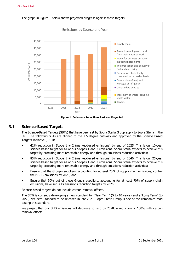

The graph in Figure 1 below shows projected progress against these targets:

Figure 1: Emissions Reductions Past and Projected

#### $3.1$ Science-Based Targets

The Science-Based Targets (SBTs) that have been set by Sopra Steria Group apply to Sopra Steria in the UK. The following SBTs are aligned to the 1.5 degree pathway and approved by the Science Based Targets Initiative (SBTi):

- 42% reduction in Scope  $1 + 2$  (market-based emissions) by end of 2025. This is our 10-year science-based target for all of our Scopes 1 and 2 emissions. Sopra Steria expects to achieve this target by procuring more renewable energy and through emissions reduction activities;
- 85% reduction in Scope  $1 + 2$  (market-based emissions) by end of 2040. This is our 25-year science-based target for all of our Scopes 1 and 2 emissions. Sopra Steria expects to achieve this target by procuring more renewable energy and through emissions reduction activities;
- Ensure that the Group's suppliers, accounting for at least 70% of supply chain emissions, control their GHG emissions by 2025; and
- Ensure that 90% out of these Group's suppliers, accounting for at least 70% of supply chain emissions, have set GHG emissions reduction targets by 2025.

Science-based targets do not include carbon removal offsets.

The SBTi is currently developing a new standard for 'Near Term' (5 to 10 years) and a 'Long Term' (to 2050) Net Zero Standard to be released in late 2021. Sopra Steria Group is one of the companies road testing this standard.

We project that our GHG emissions will decrease to zero by 2028, a reduction of 100% with carbon removal offsets.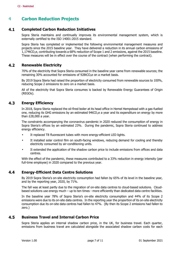## 4 Carbon Reduction Projects

#### $4.1$ Completed Carbon Reduction Initiatives

Sopra Steria maintains and continually improves its environmental management system, which is externally certified to the ISO 14001:2015 standard.

Sopra Steria has completed or implemented the following environmental management measures and projects since the 2015 baseline year. They have delivered a reduction in its annual carbon emissions of 1,174tCO<sub>2</sub>e, contributing towards a 68% reduction of Scope 1 and 2 emissions, against the 2015 baseline. These measures will be in effect over the course of the contract (when performing the contract).

#### $4.2$ Renewable Electricity

70% of the electricity that Sopra Steria consumed in the baseline year came from renewable sources; the remaining 30% accounted for emissions of 928tCO<sub>2</sub>e on a market basis.

By 2019 Sopra Steria had raised the proportion of electricity consumed from renewable sources to 100%, reducing Scope 2 emissions to zero on a market basis.

All of the electricity that Sopra Steria consumes is backed by Renewable Energy Guarantees of Origin (REGOs).

#### 4.3 Energy Efficiency

In 2018, Sopra Steria replaced the oil-fired boiler at its head office in Hemel Hempstead with a gas-fuelled one, reducing its GHG emissions by an estimated 94tCO₂e a year and its expenditure on energy by more than £28,000 a year.

The constraints accompanying the coronavirus pandemic in 2020 reduced the consumption of energy in Sopra Steria's offices by an estimated 23%. During the pandemic, Sopra Steria continued to address energy efficiency.

- It replaced T8 fluorescent tubes with more energy-efficient LED lights.
- It installed solar control film on south-facing windows, reducing demand for cooling and thereby electricity consumed by air-conditioning units.
- It extended the application of the shadow carbon price to include emissions from offices and data centres.

With the effect of the pandemic, these measures contributed to a 33% reduction in energy intensity (per full-time employee) in 2020 compared to the previous year.

#### $4.4$ Energy-Efficient Data Centre Solutions

By 2019 Sopra Steria's on-site electricity consumption had fallen by 65% of its level in the baseline year, and by the reporting year, 2020, by 71%.

The fall was at least partly due to the migration of on-site data centres to cloud-based solutions. Cloudbased solutions use energy much – up to ten times - more efficiently than dedicated data centre facilities.

In the baseline year 78% of Sopra Steria's on-site electricity consumption and 44% of its Scope 2 emissions were due to its on-site data centres. In the reporting year the proportion of its on-site electricity consumption due its on-site data centres had fallen to 47%. (By then its Scope 2 emissions had fallen to zero.)

#### Business Travel and Internal Carbon Price  $4.5$

Sopra Steria applies an internal shadow carbon price, in the UK, for business travel. Each quarter, emissions from business travel are calculated alongside the associated shadow carbon costs for each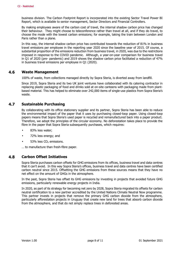business division. The Carbon Footprint Report is incorporated into the existing Sector Travel Power BI Report, which is available to senior management, Sector Directors and Financial Controllers.

By making employees aware of the carbon cost of travel, the internal shadow carbon price has changed their behaviour. They might choose to teleconference rather than travel at all, and if they do travel, to choose the mode with the lowest carbon emissions; for example, taking the train between London and Paris rather than a plane.

In this way, the internal shadow carbon price has contributed towards the reduction of 81% in business travel emissions per employee in the reporting year 2020 since the baseline year of 2015. Of course, a substantial proportion of the emissions reduction from business travel, in 2020, was due to the restrictions imposed in response to the COVID pandemic. Although, a year-on-year comparison for business travel in Q1 of 2020 (pre- pandemic) and 2019 shows the shadow carbon price facilitated a reduction of 47% in business travel emissions per employee in Q1 (2020).

#### 4.6 Waste Management

100% of waste, from collections managed directly by Sopra Steria, is diverted away from landfill.

Since 2019, Sopra Steria and its two UK joint ventures have collaborated with its catering contractor in replacing plastic packaging of food and drinks sold at on-site canteens with packaging made from plantbased material. This has helped to eliminate over 242,000 items of single-use plastics from Sopra Steria's waste.

#### 4.7 Sustainable Purchasing

By collaborating with its office stationery supplier and its partner, Sopra Steria has been able to reduce the environmental impact of the paper that it uses by purchasing closed-loop paper. Using closed-loop papers means that Sopra Steria's used paper is recycled and remanufactured back into a paper product. Therefore, we adopt the principles of the circular economy. No deforestation takes place to provide the fibre in the paper that Sopra Steria subsequently purchases, which requires:

- 83% less water;
- 72% less energy; and
- 53% less CO<sub>2</sub> emissions.

… to manufacture than fresh-fibre paper.

#### 4.8 Carbon Offset Initiatives

Sopra Steria purchases carbon offsets for GHG emissions from its offices, business travel and data centres that it can't avoid. In this way Sopra Steria's offices, business travel and data centres have been certified carbon neutral since 2015. Offsetting the GHG emissions from these sources means that they have no net effect on the amount of GHGs in the atmosphere.

In the past, Sopra Steria has offset its GHG emissions by investing in projects that avoided future GHG emissions, particularly renewable energy projects in India.

In 2020, as part of its strategy for becoming net zero by 2028, Sopra Steria migrated its offsets for carbon neutral certification to a new partner accredited by the United Nations Climate Neutral Now programme. This partner invests in projects that remove the primary GHG carbon dioxide from the atmosphere, particularly afforestation projects in Uruguay that create new land for trees that absorb carbon dioxide from the atmosphere, and that do not simply replace trees in deforested areas.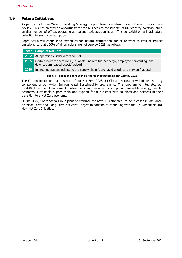#### 4.9 Future Initiatives

As part of its Future Ways of Working Strategy, Sopra Steria is enabling its employees to work more flexibly. This has created an opportunity for the business to consolidate its UK property portfolio into a smaller number of offices operating as regional collaboration hubs. This consolidation will facilitate a reduction in energy consumption.

Sopra Steria will continue to extend carbon neutral certification, for all relevant sources of indirect emissions, so that 100% of all emissions are net zero by 2028, as follows:

|      | Year Scope of Net Zero                                                                                                      |
|------|-----------------------------------------------------------------------------------------------------------------------------|
|      | <b>2022</b> All operations under direct control                                                                             |
| 2025 | Certain indirect operations (i.e. waste, indirect fuel & energy, employee commuting, and<br>downstream leased assets) added |
| 2028 | Indirect operations related to the supply chain (purchased goods and services) added                                        |

#### Table 4: Phases of Sopra Steria's Approach to becoming Net Zero by 2028

The Carbon Reduction Plan, as part of our Net Zero 2028 UN Climate Neutral Now initiative is a key component of our wider Environmental Sustainability programme. This programme integrates our ISO14001 certified Environment System, efficient resource consumption, renewable energy, circular economy, sustainable supply chain and support for our clients with solutions and services in their transition to a Net Zero economy.

During 2022, Sopra Steria Group plans to embrace the new SBTi standard (to be released in late 2021) on 'Near Term' and 'Long Term/Net Zero' Targets in addition to continuing with the UN Climate Neutral Now Net Zero Initiative.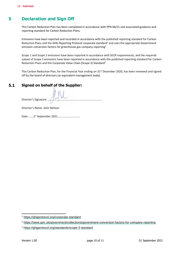## 5 Declaration and Sign Off

This Carbon Reduction Plan has been completed in accordance with PPN 06/21 and associated guidance and reporting standard for Carbon Reduction Plans.

Emissions have been reported and recorded in accordance with the published reporting standard for Carbon Reduction Plans and the GHG Reporting Protocol corporate standard<sup>1</sup> and uses the appropriate Government emission conversion factors for greenhouse gas company reporting<sup>2</sup>.

Scope 1 and Scope 2 emissions have been reported in accordance with SECR requirements, and the required subset of Scope 3 emissions have been reported in accordance with the published reporting standard for Carbon Reduction Plans and the Corporate Value Chain (Scope 3) Standard<sup>3</sup>.

This Carbon Reduction Plan, for the Financial Year ending on 31<sup>st</sup> December 2020, has been reviewed and signed off by the board of directors (or equivalent management body).

#### $5.1$ Signed on behalf of the Supplier:

Director's Signature: ………………………………………………………………….

Director's Name: John Neilson

Date: ……1st September 2021………………….……….

 $\overline{a}$ 

<sup>1</sup> https://ghgprotocol.org/corporate-standard

<sup>&</sup>lt;sup>2</sup> https://www.gov.uk/government/collections/government-conversion-factors-for-company-reporting

<sup>3</sup> https://ghgprotocol.org/standards/scope-3-standard